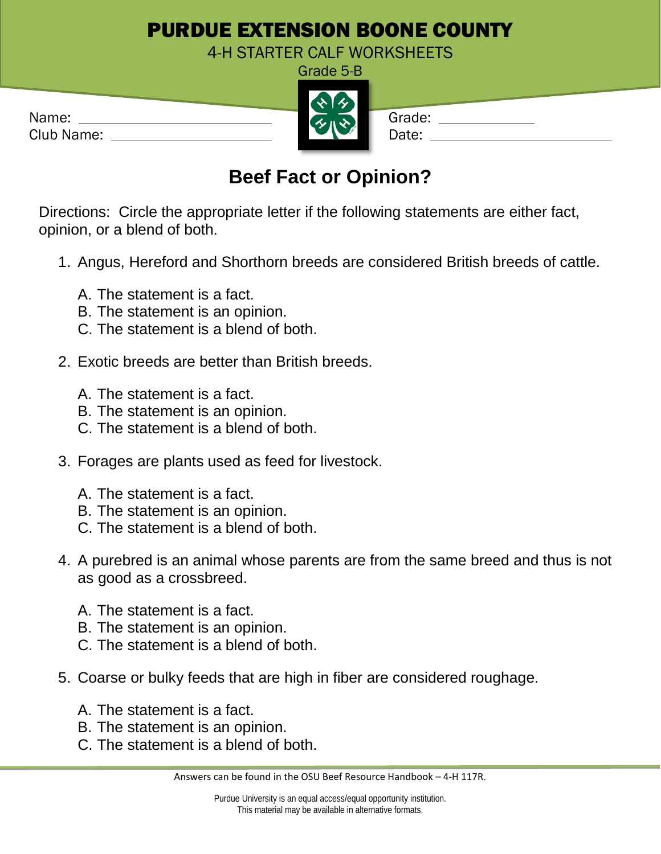## PURDUE EXTENSION BOONE COUNTY

4-H STARTER CALF WORKSHEETS Grade 5-B

| Name:      | ス = ハーン 】 | Grade: |
|------------|-----------|--------|
| Club Name: |           | Date:  |

## **Beef Fact or Opinion?**

Directions: Circle the appropriate letter if the following statements are either fact, opinion, or a blend of both.

- 1. Angus, Hereford and Shorthorn breeds are considered British breeds of cattle.
	- A. The statement is a fact.
	- B. The statement is an opinion.
	- C. The statement is a blend of both.
- 2. Exotic breeds are better than British breeds.
	- A. The statement is a fact.
	- B. The statement is an opinion.
	- C. The statement is a blend of both.
- 3. Forages are plants used as feed for livestock.
	- A. The statement is a fact.
	- B. The statement is an opinion.
	- C. The statement is a blend of both.
- 4. A purebred is an animal whose parents are from the same breed and thus is not as good as a crossbreed.
	- A. The statement is a fact.
	- B. The statement is an opinion.
	- C. The statement is a blend of both.
- 5. Coarse or bulky feeds that are high in fiber are considered roughage.
	- A. The statement is a fact.
	- B. The statement is an opinion.
	- C. The statement is a blend of both.